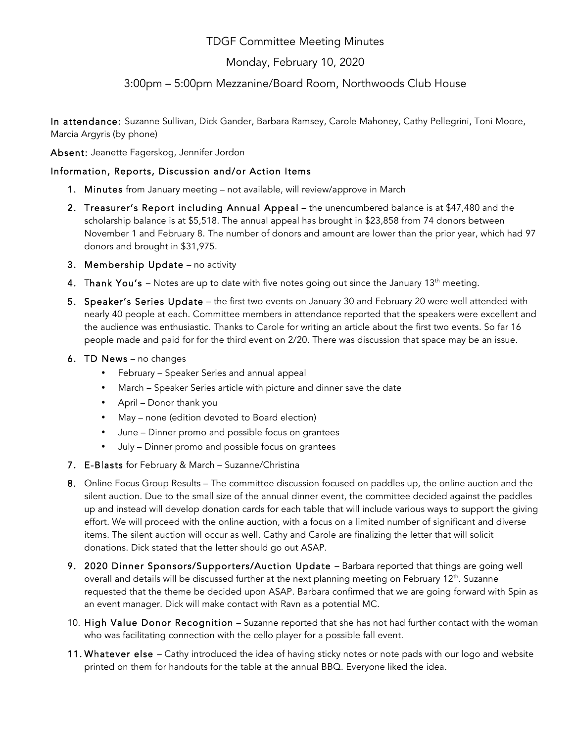## TDGF Committee Meeting Minutes

## Monday, February 10, 2020

## 3:00pm – 5:00pm Mezzanine/Board Room, Northwoods Club House

In attendance: Suzanne Sullivan, Dick Gander, Barbara Ramsey, Carole Mahoney, Cathy Pellegrini, Toni Moore, Marcia Argyris (by phone)

Absent: Jeanette Fagerskog, Jennifer Jordon

## Information, Reports, Discussion and/or Action Items

- 1. Minutes from January meeting not available, will review/approve in March
- 2. Treasurer's Report including Annual Appeal the unencumbered balance is at \$47,480 and the scholarship balance is at \$5,518. The annual appeal has brought in \$23,858 from 74 donors between November 1 and February 8. The number of donors and amount are lower than the prior year, which had 97 donors and brought in \$31,975.
- 3. Membership Update no activity
- 4. Thank You's Notes are up to date with five notes going out since the January  $13<sup>th</sup>$  meeting.
- 5. Speaker's Series Update the first two events on January 30 and February 20 were well attended with nearly 40 people at each. Committee members in attendance reported that the speakers were excellent and the audience was enthusiastic. Thanks to Carole for writing an article about the first two events. So far 16 people made and paid for for the third event on 2/20. There was discussion that space may be an issue.
- 6. TD News no changes
	- February Speaker Series and annual appeal
	- March Speaker Series article with picture and dinner save the date
	- April Donor thank you
	- May none (edition devoted to Board election)
	- June Dinner promo and possible focus on grantees
	- July Dinner promo and possible focus on grantees
- 7. E-Blasts for February & March Suzanne/Christina
- 8. Online Focus Group Results The committee discussion focused on paddles up, the online auction and the silent auction. Due to the small size of the annual dinner event, the committee decided against the paddles up and instead will develop donation cards for each table that will include various ways to support the giving effort. We will proceed with the online auction, with a focus on a limited number of significant and diverse items. The silent auction will occur as well. Cathy and Carole are finalizing the letter that will solicit donations. Dick stated that the letter should go out ASAP.
- 9. 2020 Dinner Sponsors/Supporters/Auction Update Barbara reported that things are going well overall and details will be discussed further at the next planning meeting on February 12<sup>th</sup>. Suzanne requested that the theme be decided upon ASAP. Barbara confirmed that we are going forward with Spin as an event manager. Dick will make contact with Ravn as a potential MC.
- 10. High Value Donor Recognition Suzanne reported that she has not had further contact with the woman who was facilitating connection with the cello player for a possible fall event.
- 11. Whatever else Cathy introduced the idea of having sticky notes or note pads with our logo and website printed on them for handouts for the table at the annual BBQ. Everyone liked the idea.